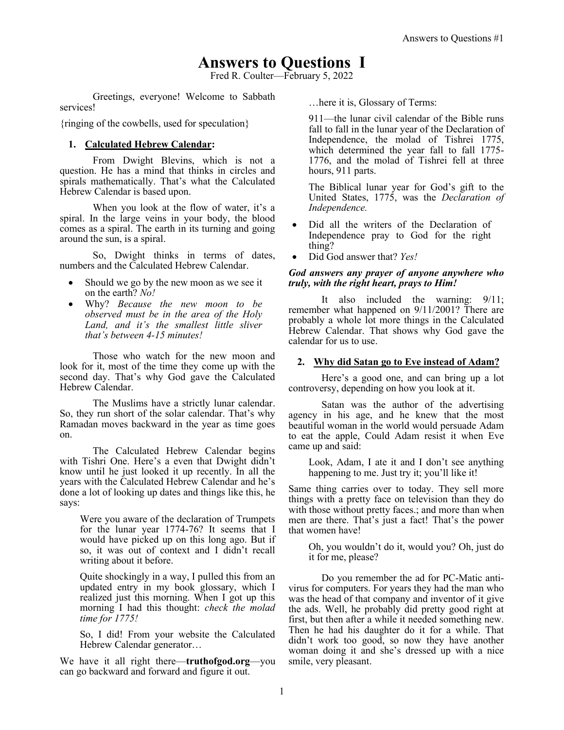# **Answers to Questions I**

Fred R. Coulter—February 5, 2022

Greetings, everyone! Welcome to Sabbath services!

{ringing of the cowbells, used for speculation}

# **1. Calculated Hebrew Calendar:**

From Dwight Blevins, which is not a question. He has a mind that thinks in circles and spirals mathematically. That's what the Calculated Hebrew Calendar is based upon.

When you look at the flow of water, it's a spiral. In the large veins in your body, the blood comes as a spiral. The earth in its turning and going around the sun, is a spiral.

So, Dwight thinks in terms of dates, numbers and the Calculated Hebrew Calendar.

- Should we go by the new moon as we see it on the earth? *No!*
- Why? *Because the new moon to be observed must be in the area of the Holy Land, and it's the smallest little sliver that's between 4-15 minutes!*

Those who watch for the new moon and look for it, most of the time they come up with the second day. That's why God gave the Calculated Hebrew Calendar.

The Muslims have a strictly lunar calendar. So, they run short of the solar calendar. That's why Ramadan moves backward in the year as time goes on.

The Calculated Hebrew Calendar begins with Tishri One. Here's a even that Dwight didn't know until he just looked it up recently. In all the years with the Calculated Hebrew Calendar and he's done a lot of looking up dates and things like this, he says:

Were you aware of the declaration of Trumpets for the lunar year 1774-76? It seems that I would have picked up on this long ago. But if so, it was out of context and I didn't recall writing about it before.

Quite shockingly in a way, I pulled this from an updated entry in my book glossary, which I realized just this morning. When I got up this morning I had this thought: *check the molad time for 1775!*

So, I did! From your website the Calculated Hebrew Calendar generator…

We have it all right there—**truthofgod.org**—you can go backward and forward and figure it out.

…here it is, Glossary of Terms:

911—the lunar civil calendar of the Bible runs fall to fall in the lunar year of the Declaration of Independence, the molad of Tishrei 1775, which determined the year fall to fall 1775- 1776, and the molad of Tishrei fell at three hours, 911 parts.

The Biblical lunar year for God's gift to the United States, 1775, was the *Declaration of Independence.*

- Did all the writers of the Declaration of Independence pray to God for the right thing?
- Did God answer that? *Yes!*

## *God answers any prayer of anyone anywhere who truly, with the right heart, prays to Him!*

It also included the warning: 9/11; remember what happened on 9/11/2001? There are probably a whole lot more things in the Calculated Hebrew Calendar. That shows why God gave the calendar for us to use.

# **2. Why did Satan go to Eve instead of Adam?**

Here's a good one, and can bring up a lot controversy, depending on how you look at it.

Satan was the author of the advertising agency in his age, and he knew that the most beautiful woman in the world would persuade Adam to eat the apple, Could Adam resist it when Eve came up and said:

Look, Adam, I ate it and I don't see anything happening to me. Just try it; you'll like it!

Same thing carries over to today. They sell more things with a pretty face on television than they do with those without pretty faces.; and more than when men are there. That's just a fact! That's the power that women have!

Oh, you wouldn't do it, would you? Oh, just do it for me, please?

Do you remember the ad for PC-Matic antivirus for computers. For years they had the man who was the head of that company and inventor of it give the ads. Well, he probably did pretty good right at first, but then after a while it needed something new. Then he had his daughter do it for a while. That didn't work too good, so now they have another woman doing it and she's dressed up with a nice smile, very pleasant.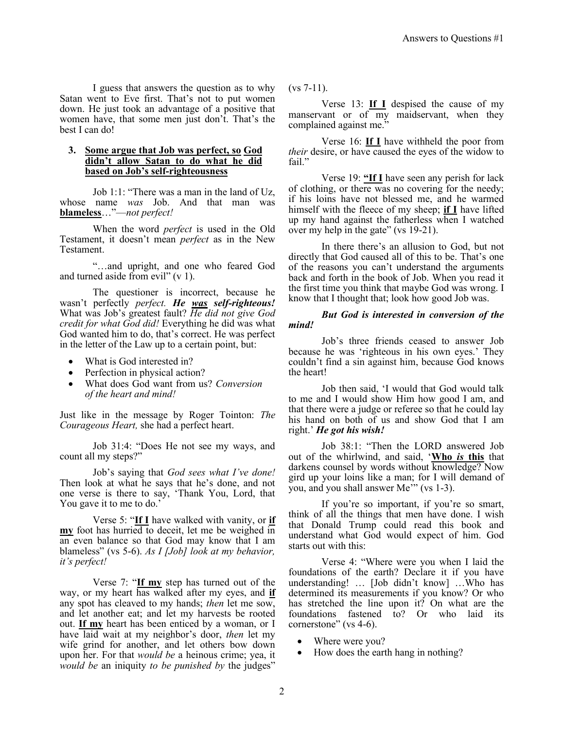I guess that answers the question as to why Satan went to Eve first. That's not to put women down. He just took an advantage of a positive that women have, that some men just don't. That's the best I can do!

#### **3. Some argue that Job was perfect, so God didn't allow Satan to do what he did based on Job's self-righteousness**

Job 1:1: "There was a man in the land of Uz, whose name *was* Job. And that man was **blameless**…"—*not perfect!*

When the word *perfect* is used in the Old Testament, it doesn't mean *perfect* as in the New Testament.

"…and upright, and one who feared God and turned aside from evil" (v 1).

The questioner is incorrect, because he wasn't perfectly *perfect. He was self-righteous!* What was Job's greatest fault? *He did not give God credit for what God did!* Everything he did was what God wanted him to do, that's correct. He was perfect in the letter of the Law up to a certain point, but:

- What is God interested in?
- Perfection in physical action?
- What does God want from us? *Conversion of the heart and mind!*

Just like in the message by Roger Tointon: *The Courageous Heart,* she had a perfect heart.

Job 31:4: "Does He not see my ways, and count all my steps?"

Job's saying that *God sees what I've done!* Then look at what he says that he's done, and not one verse is there to say, 'Thank You, Lord, that You gave it to me to do.'

Verse 5: "**If I** have walked with vanity, or **if my** foot has hurried to deceit, let me be weighed in an even balance so that God may know that I am blameless" (vs 5-6). *As I [Job] look at my behavior, it's perfect!*

Verse 7: "**If my** step has turned out of the way, or my heart has walked after my eyes, and **if** any spot has cleaved to my hands; *then* let me sow, and let another eat; and let my harvests be rooted out. **If my** heart has been enticed by a woman, or I have laid wait at my neighbor's door, *then* let my wife grind for another, and let others bow down upon her. For that *would be* a heinous crime; yea, it *would be* an iniquity *to be punished by* the judges"

(vs 7-11).

Verse 13: **If I** despised the cause of my manservant or of my maidservant, when they complained against me."

Verse 16: **If I** have withheld the poor from *their* desire, or have caused the eyes of the widow to fail."

Verse 19: **"If I** have seen any perish for lack of clothing, or there was no covering for the needy; if his loins have not blessed me, and he warmed himself with the fleece of my sheep; **if I** have lifted up my hand against the fatherless when I watched over my help in the gate" (vs 19-21).

In there there's an allusion to God, but not directly that God caused all of this to be. That's one of the reasons you can't understand the arguments back and forth in the book of Job. When you read it the first time you think that maybe God was wrong. I know that I thought that; look how good Job was.

#### *But God is interested in conversion of the mind!*

Job's three friends ceased to answer Job because he was 'righteous in his own eyes.' They couldn't find a sin against him, because God knows the heart!

Job then said, 'I would that God would talk to me and I would show Him how good I am, and that there were a judge or referee so that he could lay his hand on both of us and show God that I am right.' *He got his wish!*

Job 38:1: "Then the LORD answered Job out of the whirlwind, and said, '**Who** *is* **this** that darkens counsel by words without knowledge? Now gird up your loins like a man; for I will demand of you, and you shall answer Me'" (vs 1-3).

If you're so important, if you're so smart, think of all the things that men have done. I wish that Donald Trump could read this book and understand what God would expect of him. God starts out with this:

Verse 4: "Where were you when I laid the foundations of the earth? Declare it if you have understanding! … [Job didn't know] …Who has determined its measurements if you know? Or who has stretched the line upon it? On what are the foundations fastened to? Or who laid its cornerstone" (vs 4-6).

- Where were you?
- How does the earth hang in nothing?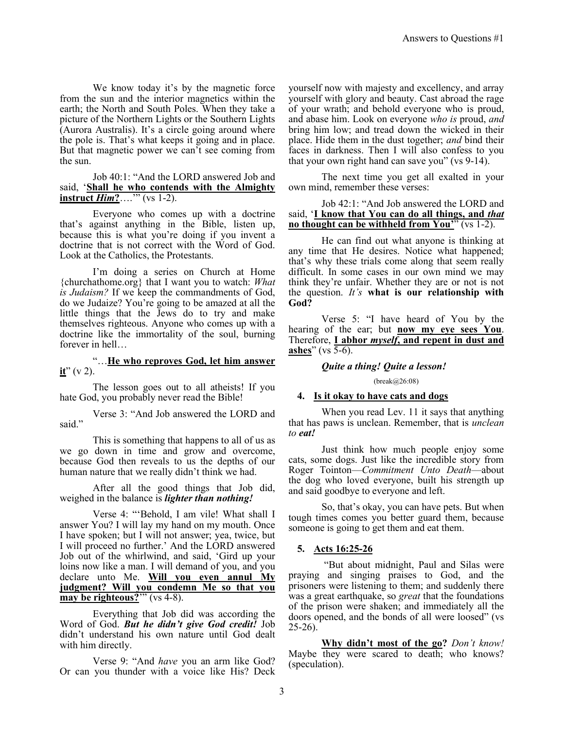We know today it's by the magnetic force from the sun and the interior magnetics within the earth; the North and South Poles. When they take a picture of the Northern Lights or the Southern Lights (Aurora Australis). It's a circle going around where the pole is. That's what keeps it going and in place. But that magnetic power we can't see coming from the sun.

#### Job 40:1: "And the LORD answered Job and said, '**Shall he who contends with the Almighty**   $\text{instruct}\ \textit{Him?} \dots$ " (vs 1-2).

Everyone who comes up with a doctrine that's against anything in the Bible, listen up, because this is what you're doing if you invent a doctrine that is not correct with the Word of God. Look at the Catholics, the Protestants.

I'm doing a series on Church at Home {churchathome.org} that I want you to watch: *What is Judaism?* If we keep the commandments of God, do we Judaize? You're going to be amazed at all the little things that the Jews do to try and make themselves righteous. Anyone who comes up with a doctrine like the immortality of the soul, burning forever in hell…

"…**He who reproves God, let him answer**   $i**t**$ " (v 2).

The lesson goes out to all atheists! If you hate God, you probably never read the Bible!

Verse 3: "And Job answered the LORD and said."

This is something that happens to all of us as we go down in time and grow and overcome, because God then reveals to us the depths of our human nature that we really didn't think we had.

After all the good things that Job did, weighed in the balance is *lighter than nothing!*

Verse 4: "'Behold, I am vile! What shall I answer You? I will lay my hand on my mouth. Once I have spoken; but I will not answer; yea, twice, but I will proceed no further.' And the LORD answered Job out of the whirlwind, and said, 'Gird up your loins now like a man. I will demand of you, and you declare unto Me. **Will you even annul My judgment? Will you condemn Me so that you may be righteous?**'" (vs 4-8).

Everything that Job did was according the Word of God. *But he didn't give God credit!* Job didn't understand his own nature until God dealt with him directly.

Verse 9: "And *have* you an arm like God? Or can you thunder with a voice like His? Deck yourself now with majesty and excellency, and array yourself with glory and beauty. Cast abroad the rage of your wrath; and behold everyone who is proud, and abase him. Look on everyone *who is* proud, *and* bring him low; and tread down the wicked in their place. Hide them in the dust together; *and* bind their faces in darkness. Then I will also confess to you that your own right hand can save you" (vs 9-14).

The next time you get all exalted in your own mind, remember these verses:

#### Job 42:1: "And Job answered the LORD and said, '**I know that You can do all things, and** *that* **no thought can be withheld from You''** (vs 1-2).

He can find out what anyone is thinking at any time that He desires. Notice what happened; that's why these trials come along that seem really difficult. In some cases in our own mind we may think they're unfair. Whether they are or not is not the question. *It's* **what is our relationship with God?**

Verse 5: "I have heard of You by the hearing of the ear; but **now my eye sees You**. Therefore, **I abhor** *myself***, and repent in dust and ashes**" (vs 5-6).

#### *Quite a thing! Quite a lesson!*

#### (break@26:08)

#### **4. Is it okay to have cats and dogs**

When you read Lev. 11 it says that anything that has paws is unclean. Remember, that is *unclean to eat!*

Just think how much people enjoy some cats, some dogs. Just like the incredible story from Roger Tointon—*Commitment Unto Death*—about the dog who loved everyone, built his strength up and said goodbye to everyone and left.

So, that's okay, you can have pets. But when tough times comes you better guard them, because someone is going to get them and eat them.

## **5. Acts 16:25-26**

"But about midnight, Paul and Silas were praying and singing praises to God, and the prisoners were listening to them; and suddenly there was a great earthquake, so *great* that the foundations of the prison were shaken; and immediately all the doors opened, and the bonds of all were loosed" (vs  $25-26$ ).

**Why didn't most of the go?** *Don't know!* Maybe they were scared to death; who knows? (speculation).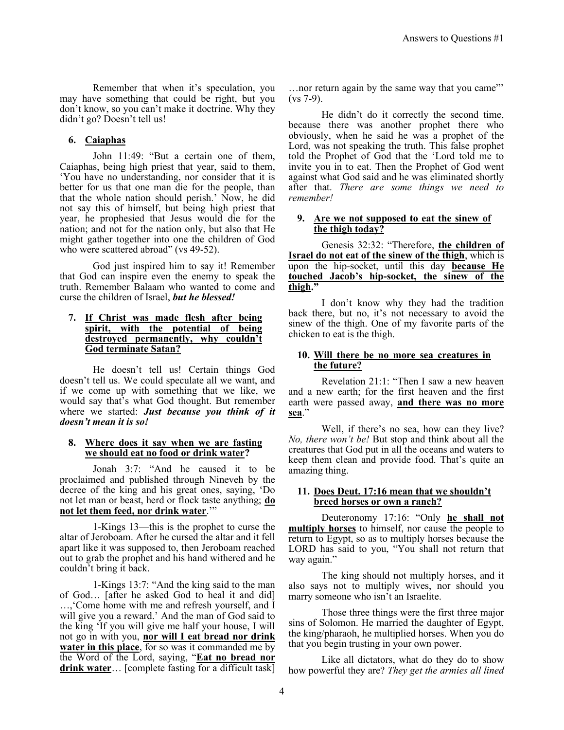Remember that when it's speculation, you may have something that could be right, but you don't know, so you can't make it doctrine. Why they didn't go? Doesn't tell us!

# **6. Caiaphas**

John 11:49: "But a certain one of them, Caiaphas, being high priest that year, said to them, 'You have no understanding, nor consider that it is better for us that one man die for the people, than that the whole nation should perish.' Now, he did not say this of himself, but being high priest that year, he prophesied that Jesus would die for the nation; and not for the nation only, but also that He might gather together into one the children of God who were scattered abroad" (vs 49-52).

God just inspired him to say it! Remember that God can inspire even the enemy to speak the truth. Remember Balaam who wanted to come and curse the children of Israel, *but he blessed!*

## **7. If Christ was made flesh after being spirit, with the potential of being destroyed permanently, why couldn't God terminate Satan?**

He doesn't tell us! Certain things God doesn't tell us. We could speculate all we want, and if we come up with something that we like, we would say that's what God thought. But remember where we started: *Just because you think of it doesn't mean it is so!*

#### **8. Where does it say when we are fasting we should eat no food or drink water?**

Jonah 3:7: "And he caused it to be proclaimed and published through Nineveh by the decree of the king and his great ones, saying, 'Do not let man or beast, herd or flock taste anything; **do not let them feed, nor drink water**.'"

1-Kings 13—this is the prophet to curse the altar of Jeroboam. After he cursed the altar and it fell apart like it was supposed to, then Jeroboam reached out to grab the prophet and his hand withered and he couldn't bring it back.

1-Kings 13:7: "And the king said to the man of God… [after he asked God to heal it and did] …,'Come home with me and refresh yourself, and I will give you a reward.' And the man of God said to the king 'If you will give me half your house, I will not go in with you, **nor will I eat bread nor drink water in this place**, for so was it commanded me by the Word of the Lord, saying, "**Eat no bread nor drink water**… [complete fasting for a difficult task]

…nor return again by the same way that you came"' (vs 7-9).

He didn't do it correctly the second time, because there was another prophet there who obviously, when he said he was a prophet of the Lord, was not speaking the truth. This false prophet told the Prophet of God that the 'Lord told me to invite you in to eat. Then the Prophet of God went against what God said and he was eliminated shortly after that. *There are some things we need to remember!*

## **9. Are we not supposed to eat the sinew of the thigh today?**

Genesis 32:32: "Therefore, **the children of Israel do not eat of the sinew of the thigh**, which is upon the hip-socket, until this day **because He touched Jacob's hip-socket, the sinew of the thigh."**

I don't know why they had the tradition back there, but no, it's not necessary to avoid the sinew of the thigh. One of my favorite parts of the chicken to eat is the thigh.

## **10. Will there be no more sea creatures in the future?**

Revelation 21:1: "Then I saw a new heaven and a new earth; for the first heaven and the first earth were passed away, **and there was no more sea**."

Well, if there's no sea, how can they live? *No, there won't be!* But stop and think about all the creatures that God put in all the oceans and waters to keep them clean and provide food. That's quite an amazing thing.

# **11. Does Deut. 17:16 mean that we shouldn't breed horses or own a ranch?**

Deuteronomy 17:16: "Only **he shall not multiply horses** to himself, nor cause the people to return to Egypt, so as to multiply horses because the LORD has said to you, "You shall not return that way again."

The king should not multiply horses, and it also says not to multiply wives, nor should you marry someone who isn't an Israelite.

Those three things were the first three major sins of Solomon. He married the daughter of Egypt, the king/pharaoh, he multiplied horses. When you do that you begin trusting in your own power.

Like all dictators, what do they do to show how powerful they are? *They get the armies all lined*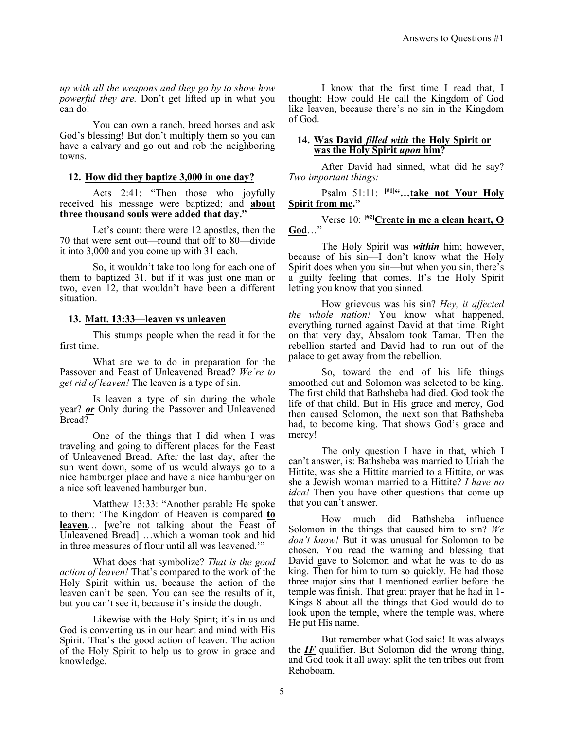*up with all the weapons and they go by to show how powerful they are.* Don't get lifted up in what you can do!

You can own a ranch, breed horses and ask God's blessing! But don't multiply them so you can have a calvary and go out and rob the neighboring towns.

## **12. How did they baptize 3,000 in one day?**

Acts 2:41: "Then those who joyfully received his message were baptized; and **about three thousand souls were added that day."**

Let's count: there were 12 apostles, then the 70 that were sent out—round that off to 80—divide it into 3,000 and you come up with 31 each.

So, it wouldn't take too long for each one of them to baptized 31. but if it was just one man or two, even 12, that wouldn't have been a different situation.

# **13. Matt. 13:33—leaven vs unleaven**

This stumps people when the read it for the first time.

What are we to do in preparation for the Passover and Feast of Unleavened Bread? *We're to get rid of leaven!* The leaven is a type of sin.

Is leaven a type of sin during the whole year? *or* Only during the Passover and Unleavened Bread?

One of the things that I did when I was traveling and going to different places for the Feast of Unleavened Bread. After the last day, after the sun went down, some of us would always go to a nice hamburger place and have a nice hamburger on a nice soft leavened hamburger bun.

Matthew 13:33: "Another parable He spoke to them: 'The Kingdom of Heaven is compared **to leaven**… [we're not talking about the Feast of Unleavened Bread] …which a woman took and hid in three measures of flour until all was leavened.'"

What does that symbolize? *That is the good action of leaven!* That's compared to the work of the Holy Spirit within us, because the action of the leaven can't be seen. You can see the results of it, but you can't see it, because it's inside the dough.

Likewise with the Holy Spirit; it's in us and God is converting us in our heart and mind with His Spirit. That's the good action of leaven. The action of the Holy Spirit to help us to grow in grace and knowledge.

I know that the first time I read that, I thought: How could He call the Kingdom of God like leaven, because there's no sin in the Kingdom of God.

# **14. Was David** *filled with* **the Holy Spirit or was the Holy Spirit** *upon* **him?**

After David had sinned, what did he say? *Two important things:*

Psalm 51:11: **[#1]"…take not Your Holy Spirit from me."**

Verse 10: **[#2]Create in me a clean heart, O God**…"

The Holy Spirit was *within* him; however, because of his sin—I don't know what the Holy Spirit does when you sin—but when you sin, there's a guilty feeling that comes. It's the Holy Spirit letting you know that you sinned.

How grievous was his sin? *Hey, it affected the whole nation!* You know what happened, everything turned against David at that time. Right on that very day, Absalom took Tamar. Then the rebellion started and David had to run out of the palace to get away from the rebellion.

So, toward the end of his life things smoothed out and Solomon was selected to be king. The first child that Bathsheba had died. God took the life of that child. But in His grace and mercy, God then caused Solomon, the next son that Bathsheba had, to become king. That shows God's grace and mercy!

The only question I have in that, which I can't answer, is: Bathsheba was married to Uriah the Hittite, was she a Hittite married to a Hittite, or was she a Jewish woman married to a Hittite? *I have no idea!* Then you have other questions that come up that you can't answer.

How much did Bathsheba influence Solomon in the things that caused him to sin? *We don't know!* But it was unusual for Solomon to be chosen. You read the warning and blessing that David gave to Solomon and what he was to do as king. Then for him to turn so quickly. He had those three major sins that I mentioned earlier before the temple was finish. That great prayer that he had in 1- Kings 8 about all the things that God would do to look upon the temple, where the temple was, where He put His name.

But remember what God said! It was always the *IF* qualifier. But Solomon did the wrong thing, and God took it all away: split the ten tribes out from Rehoboam.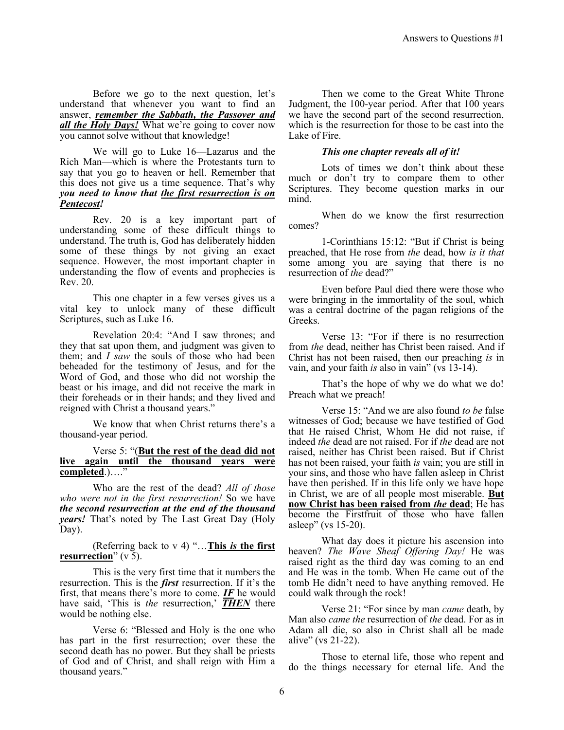Before we go to the next question, let's understand that whenever you want to find an answer, *remember the Sabbath, the Passover and all the Holy Days!* What we're going to cover now you cannot solve without that knowledge!

We will go to Luke 16—Lazarus and the Rich Man—which is where the Protestants turn to say that you go to heaven or hell. Remember that this does not give us a time sequence. That's why *you need to know that the first resurrection is on Pentecost!*

Rev. 20 is a key important part of understanding some of these difficult things to understand. The truth is, God has deliberately hidden some of these things by not giving an exact sequence. However, the most important chapter in understanding the flow of events and prophecies is Rev. 20.

This one chapter in a few verses gives us a vital key to unlock many of these difficult Scriptures, such as Luke 16.

Revelation 20:4: "And I saw thrones; and they that sat upon them, and judgment was given to them; and *I saw* the souls of those who had been beheaded for the testimony of Jesus, and for the Word of God, and those who did not worship the beast or his image, and did not receive the mark in their foreheads or in their hands; and they lived and reigned with Christ a thousand years."

We know that when Christ returns there's a thousand-year period.

#### Verse 5: "(**But the rest of the dead did not live again until the thousand years were completed**.)…."

Who are the rest of the dead? *All of those who were not in the first resurrection!* So we have *the second resurrection at the end of the thousand years!* That's noted by The Last Great Day (Holy Day).

(Referring back to v 4) "…**This** *is* **the first resurrection**" (v 5).

This is the very first time that it numbers the resurrection. This is the *first* resurrection. If it's the first, that means there's more to come. *IF* he would have said, 'This is *the* resurrection,' **THEN** there would be nothing else.

Verse 6: "Blessed and Holy is the one who has part in the first resurrection; over these the second death has no power. But they shall be priests of God and of Christ, and shall reign with Him a thousand years."

Then we come to the Great White Throne Judgment, the 100-year period. After that 100 years we have the second part of the second resurrection, which is the resurrection for those to be cast into the Lake of Fire.

## *This one chapter reveals all of it!*

Lots of times we don't think about these much or don't try to compare them to other Scriptures. They become question marks in our mind.

When do we know the first resurrection comes?

1-Corinthians 15:12: "But if Christ is being preached, that He rose from *the* dead, how *is it that* some among you are saying that there is no resurrection of *the* dead?"

Even before Paul died there were those who were bringing in the immortality of the soul, which was a central doctrine of the pagan religions of the Greeks.

Verse 13: "For if there is no resurrection from *the* dead, neither has Christ been raised. And if Christ has not been raised, then our preaching *is* in vain, and your faith *is* also in vain" (vs 13-14).

That's the hope of why we do what we do! Preach what we preach!

Verse 15: "And we are also found *to be* false witnesses of God; because we have testified of God that He raised Christ, Whom He did not raise, if indeed *the* dead are not raised. For if *the* dead are not raised, neither has Christ been raised. But if Christ has not been raised, your faith *is* vain; you are still in your sins, and those who have fallen asleep in Christ have then perished. If in this life only we have hope in Christ, we are of all people most miserable. **But now Christ has been raised from** *the* **dead**; He has become the Firstfruit of those who have fallen asleep" (vs 15-20).

What day does it picture his ascension into heaven? *The Wave Sheaf Offering Day!* He was raised right as the third day was coming to an end and He was in the tomb. When He came out of the tomb He didn't need to have anything removed. He could walk through the rock!

Verse 21: "For since by man *came* death, by Man also *came the* resurrection of *the* dead. For as in Adam all die, so also in Christ shall all be made alive" (vs 21-22).

Those to eternal life, those who repent and do the things necessary for eternal life. And the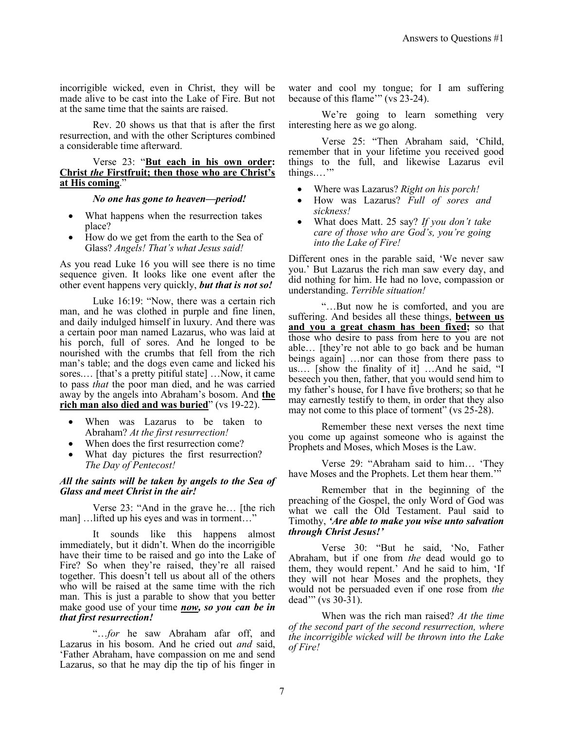incorrigible wicked, even in Christ, they will be made alive to be cast into the Lake of Fire. But not at the same time that the saints are raised.

Rev. 20 shows us that that is after the first resurrection, and with the other Scriptures combined a considerable time afterward.

Verse 23: "**But each in his own order: Christ** *the* **Firstfruit; then those who are Christ's at His coming**."

#### *No one has gone to heaven—period!*

- What happens when the resurrection takes place?
- How do we get from the earth to the Sea of Glass? *Angels! That's what Jesus said!*

As you read Luke 16 you will see there is no time sequence given. It looks like one event after the other event happens very quickly, *but that is not so!*

Luke 16:19: "Now, there was a certain rich man, and he was clothed in purple and fine linen, and daily indulged himself in luxury. And there was a certain poor man named Lazarus, who was laid at his porch, full of sores. And he longed to be nourished with the crumbs that fell from the rich man's table; and the dogs even came and licked his sores.… [that's a pretty pitiful state] …Now, it came to pass *that* the poor man died, and he was carried away by the angels into Abraham's bosom. And **the rich man also died and was buried**" (vs 19-22).

- When was Lazarus to be taken to Abraham? *At the first resurrection!*
- When does the first resurrection come?
- What day pictures the first resurrection? *The Day of Pentecost!*

# *All the saints will be taken by angels to the Sea of Glass and meet Christ in the air!*

Verse 23: "And in the grave he… [the rich man] …lifted up his eyes and was in torment…"

It sounds like this happens almost immediately, but it didn't. When do the incorrigible have their time to be raised and go into the Lake of Fire? So when they're raised, they're all raised together. This doesn't tell us about all of the others who will be raised at the same time with the rich man. This is just a parable to show that you better make good use of your time *now, so you can be in that first resurrection!*

"…*for* he saw Abraham afar off, and Lazarus in his bosom. And he cried out *and* said, 'Father Abraham, have compassion on me and send Lazarus, so that he may dip the tip of his finger in

water and cool my tongue; for I am suffering because of this flame'" (vs 23-24).

We're going to learn something very interesting here as we go along.

Verse 25: "Then Abraham said, 'Child, remember that in your lifetime you received good things to the full, and likewise Lazarus evil things.…'"

- Where was Lazarus? *Right on his porch!*
- How was Lazarus? *Full of sores and sickness!*
- What does Matt. 25 say? *If you don't take care of those who are God's, you're going into the Lake of Fire!*

Different ones in the parable said, 'We never saw you.' But Lazarus the rich man saw every day, and did nothing for him. He had no love, compassion or understanding. *Terrible situation!*

"…But now he is comforted, and you are suffering. And besides all these things, **between us and you a great chasm has been fixed;** so that those who desire to pass from here to you are not able… [they're not able to go back and be human beings again] …nor can those from there pass to us.… [show the finality of it] …And he said, "I beseech you then, father, that you would send him to my father's house, for I have five brothers; so that he may earnestly testify to them, in order that they also may not come to this place of torment" (vs 25-28).

Remember these next verses the next time you come up against someone who is against the Prophets and Moses, which Moses is the Law.

Verse 29: "Abraham said to him… 'They have Moses and the Prophets. Let them hear them."

Remember that in the beginning of the preaching of the Gospel, the only Word of God was what we call the Old Testament. Paul said to Timothy, *'Are able to make you wise unto salvation through Christ Jesus!'*

Verse 30: "But he said, 'No, Father Abraham, but if one from *the* dead would go to them, they would repent.' And he said to him, 'If they will not hear Moses and the prophets, they would not be persuaded even if one rose from *the* dead'" (vs  $30 - 31$ ).

When was the rich man raised? *At the time of the second part of the second resurrection, where the incorrigible wicked will be thrown into the Lake of Fire!*